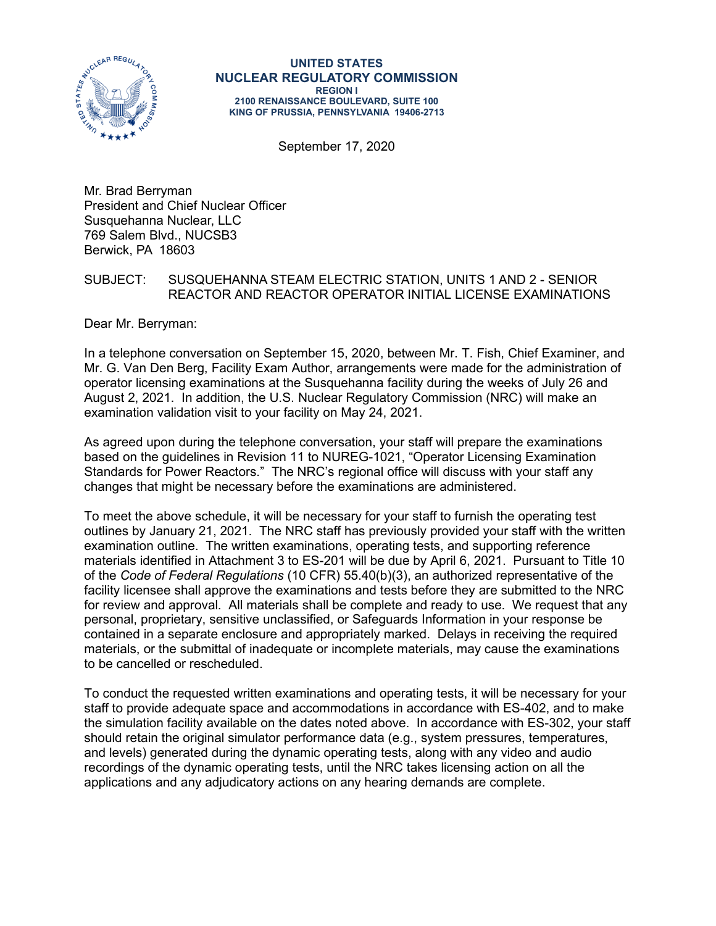

#### **UNITED STATES NUCLEAR REGULATORY COMMISSION REGION I 2100 RENAISSANCE BOULEVARD, SUITE 100 KING OF PRUSSIA, PENNSYLVANIA 19406-2713**

September 17, 2020

Mr. Brad Berryman President and Chief Nuclear Officer Susquehanna Nuclear, LLC 769 Salem Blvd., NUCSB3 Berwick, PA 18603

#### SUBJECT: SUSQUEHANNA STEAM ELECTRIC STATION, UNITS 1 AND 2 - SENIOR REACTOR AND REACTOR OPERATOR INITIAL LICENSE EXAMINATIONS

Dear Mr. Berryman:

In a telephone conversation on September 15, 2020, between Mr. T. Fish, Chief Examiner, and Mr. G. Van Den Berg, Facility Exam Author, arrangements were made for the administration of operator licensing examinations at the Susquehanna facility during the weeks of July 26 and August 2, 2021. In addition, the U.S. Nuclear Regulatory Commission (NRC) will make an examination validation visit to your facility on May 24, 2021.

As agreed upon during the telephone conversation, your staff will prepare the examinations based on the guidelines in Revision 11 to NUREG-1021, "Operator Licensing Examination Standards for Power Reactors." The NRC's regional office will discuss with your staff any changes that might be necessary before the examinations are administered.

To meet the above schedule, it will be necessary for your staff to furnish the operating test outlines by January 21, 2021. The NRC staff has previously provided your staff with the written examination outline. The written examinations, operating tests, and supporting reference materials identified in Attachment 3 to ES-201 will be due by April 6, 2021. Pursuant to Title 10 of the *Code of Federal Regulations* (10 CFR) 55.40(b)(3), an authorized representative of the facility licensee shall approve the examinations and tests before they are submitted to the NRC for review and approval. All materials shall be complete and ready to use. We request that any personal, proprietary, sensitive unclassified, or Safeguards Information in your response be contained in a separate enclosure and appropriately marked. Delays in receiving the required materials, or the submittal of inadequate or incomplete materials, may cause the examinations to be cancelled or rescheduled.

To conduct the requested written examinations and operating tests, it will be necessary for your staff to provide adequate space and accommodations in accordance with ES-402, and to make the simulation facility available on the dates noted above. In accordance with ES-302, your staff should retain the original simulator performance data (e.g., system pressures, temperatures, and levels) generated during the dynamic operating tests, along with any video and audio recordings of the dynamic operating tests, until the NRC takes licensing action on all the applications and any adjudicatory actions on any hearing demands are complete.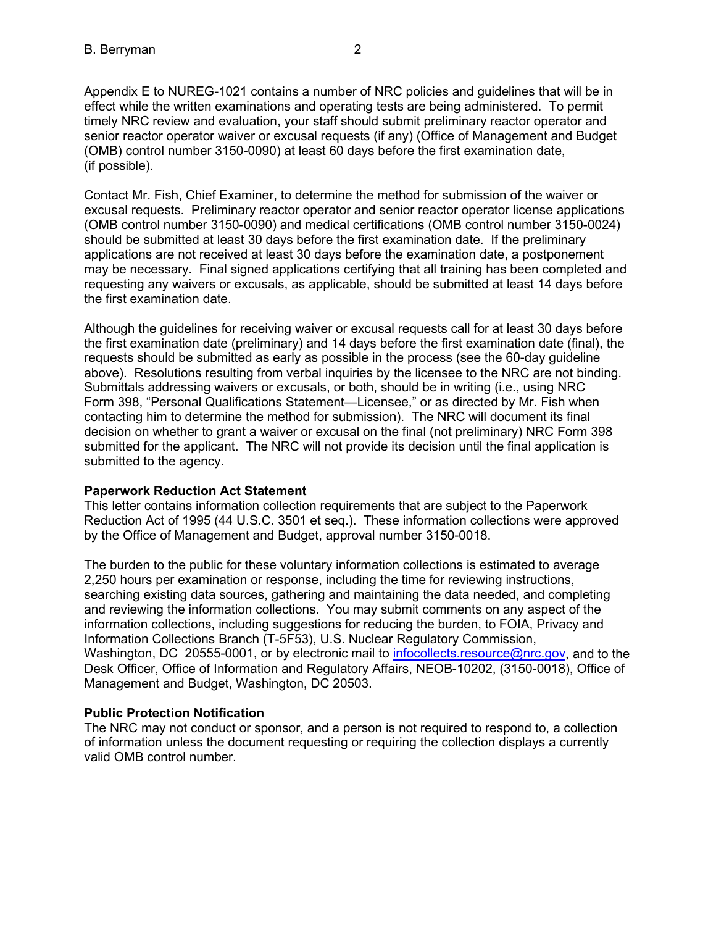Appendix E to NUREG-1021 contains a number of NRC policies and guidelines that will be in effect while the written examinations and operating tests are being administered. To permit timely NRC review and evaluation, your staff should submit preliminary reactor operator and senior reactor operator waiver or excusal requests (if any) (Office of Management and Budget (OMB) control number 3150-0090) at least 60 days before the first examination date, (if possible).

Contact Mr. Fish, Chief Examiner, to determine the method for submission of the waiver or excusal requests. Preliminary reactor operator and senior reactor operator license applications (OMB control number 3150-0090) and medical certifications (OMB control number 3150-0024) should be submitted at least 30 days before the first examination date. If the preliminary applications are not received at least 30 days before the examination date, a postponement may be necessary. Final signed applications certifying that all training has been completed and requesting any waivers or excusals, as applicable, should be submitted at least 14 days before the first examination date.

Although the guidelines for receiving waiver or excusal requests call for at least 30 days before the first examination date (preliminary) and 14 days before the first examination date (final), the requests should be submitted as early as possible in the process (see the 60-day guideline above). Resolutions resulting from verbal inquiries by the licensee to the NRC are not binding. Submittals addressing waivers or excusals, or both, should be in writing (i.e., using NRC Form 398, "Personal Qualifications Statement—Licensee," or as directed by Mr. Fish when contacting him to determine the method for submission). The NRC will document its final decision on whether to grant a waiver or excusal on the final (not preliminary) NRC Form 398 submitted for the applicant. The NRC will not provide its decision until the final application is submitted to the agency.

#### **Paperwork Reduction Act Statement**

This letter contains information collection requirements that are subject to the Paperwork Reduction Act of 1995 (44 U.S.C. 3501 et seq.). These information collections were approved by the Office of Management and Budget, approval number 3150-0018.

The burden to the public for these voluntary information collections is estimated to average 2,250 hours per examination or response, including the time for reviewing instructions, searching existing data sources, gathering and maintaining the data needed, and completing and reviewing the information collections. You may submit comments on any aspect of the information collections, including suggestions for reducing the burden, to FOIA, Privacy and Information Collections Branch (T-5F53), U.S. Nuclear Regulatory Commission, Washington, DC 20555-0001, or by electronic mail to [infocollects.resource@nrc.gov,](mailto:INFOCOLLECTS.RESOURCE@NRC.GOV) and to the Desk Officer, Office of Information and Regulatory Affairs, NEOB-10202, (3150-0018), Office of Management and Budget, Washington, DC 20503.

### **Public Protection Notification**

The NRC may not conduct or sponsor, and a person is not required to respond to, a collection of information unless the document requesting or requiring the collection displays a currently valid OMB control number.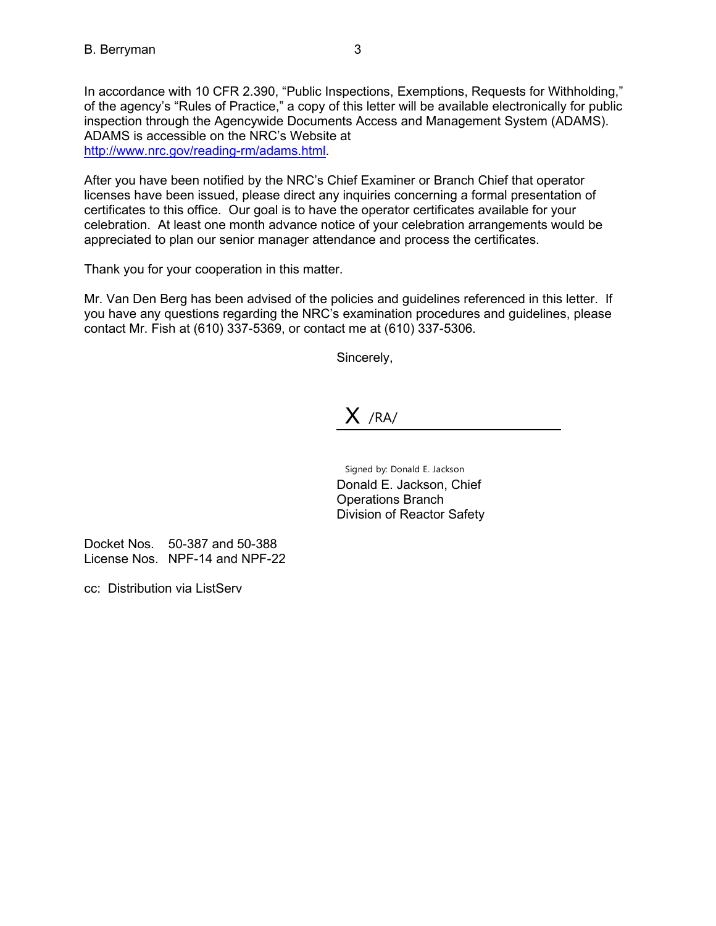In accordance with 10 CFR 2.390, "Public Inspections, Exemptions, Requests for Withholding," of the agency's "Rules of Practice," a copy of this letter will be available electronically for public inspection through the Agencywide Documents Access and Management System (ADAMS). ADAMS is accessible on the NRC's Website at [http://www.nrc.gov/reading-rm/adams.html.](http://www.nrc.gov/reading-rm/adams.html)

After you have been notified by the NRC's Chief Examiner or Branch Chief that operator licenses have been issued, please direct any inquiries concerning a formal presentation of certificates to this office. Our goal is to have the operator certificates available for your celebration. At least one month advance notice of your celebration arrangements would be appreciated to plan our senior manager attendance and process the certificates.

Thank you for your cooperation in this matter.

Mr. Van Den Berg has been advised of the policies and guidelines referenced in this letter. If you have any questions regarding the NRC's examination procedures and guidelines, please contact Mr. Fish at (610) 337-5369, or contact me at (610) 337-5306.

Sincerely,

## $X$  /RA/

Signed by: Donald E. Jackson Donald E. Jackson, Chief Operations Branch Division of Reactor Safety

Docket Nos. 50-387 and 50-388 License Nos. NPF-14 and NPF-22

cc: Distribution via ListServ